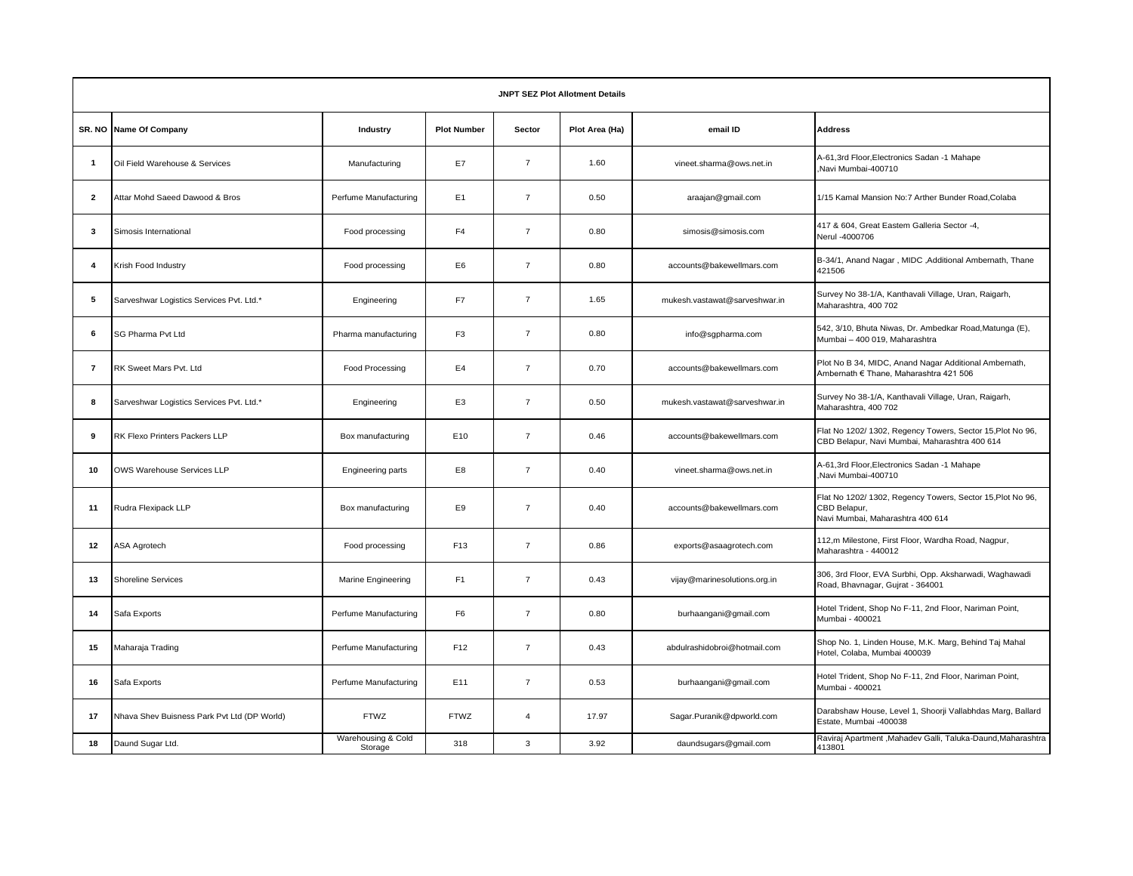| <b>JNPT SEZ Plot Allotment Details</b> |                                             |                               |                    |                |                |                               |                                                                                                                |  |  |  |  |
|----------------------------------------|---------------------------------------------|-------------------------------|--------------------|----------------|----------------|-------------------------------|----------------------------------------------------------------------------------------------------------------|--|--|--|--|
|                                        | SR. NO Name Of Company                      | Industry                      | <b>Plot Number</b> | Sector         | Plot Area (Ha) | email ID                      | <b>Address</b>                                                                                                 |  |  |  |  |
| $\overline{1}$                         | Oil Field Warehouse & Services              | Manufacturing                 | E7                 | $\overline{7}$ | 1.60           | vineet.sharma@ows.net.in      | A-61,3rd Floor, Electronics Sadan -1 Mahape<br>Navi Mumbai-400710                                              |  |  |  |  |
| $\overline{\mathbf{2}}$                | Attar Mohd Saeed Dawood & Bros              | Perfume Manufacturing         | E <sub>1</sub>     | $\overline{7}$ | 0.50           | araajan@gmail.com             | 1/15 Kamal Mansion No:7 Arther Bunder Road, Colaba                                                             |  |  |  |  |
| 3                                      | Simosis International                       | Food processing               | F <sub>4</sub>     | $\overline{7}$ | 0.80           | simosis@simosis.com           | 417 & 604, Great Eastem Galleria Sector -4,<br>Nerul -4000706                                                  |  |  |  |  |
| $\overline{\bf{4}}$                    | Krish Food Industry                         | Food processing               | E6                 | $\overline{7}$ | 0.80           | accounts@bakewellmars.com     | B-34/1, Anand Nagar , MIDC , Additional Ambernath, Thane<br>421506                                             |  |  |  |  |
| 5                                      | Sarveshwar Logistics Services Pvt. Ltd.*    | Engineering                   | F7                 | $\overline{7}$ | 1.65           | mukesh.vastawat@sarveshwar.in | Survey No 38-1/A, Kanthavali Village, Uran, Raigarh,<br>Maharashtra, 400 702                                   |  |  |  |  |
| 6                                      | SG Pharma Pvt Ltd                           | Pharma manufacturing          | F <sub>3</sub>     | $\overline{7}$ | 0.80           | info@sgpharma.com             | 542, 3/10, Bhuta Niwas, Dr. Ambedkar Road, Matunga (E),<br>Mumbai - 400 019, Maharashtra                       |  |  |  |  |
| $\overline{7}$                         | RK Sweet Mars Pvt. Ltd                      | Food Processing               | E <sub>4</sub>     | $\overline{7}$ | 0.70           | accounts@bakewellmars.com     | Plot No B 34, MIDC, Anand Nagar Additional Ambernath,<br>Ambernath € Thane, Maharashtra 421 506                |  |  |  |  |
| 8                                      | Sarveshwar Logistics Services Pvt. Ltd.*    | Engineering                   | E <sub>3</sub>     | $\overline{7}$ | 0.50           | mukesh.vastawat@sarveshwar.in | Survey No 38-1/A, Kanthavali Village, Uran, Raigarh,<br>Maharashtra, 400 702                                   |  |  |  |  |
| 9                                      | RK Flexo Printers Packers LLP               | Box manufacturing             | E10                | $\overline{7}$ | 0.46           | accounts@bakewellmars.com     | Flat No 1202/ 1302, Regency Towers, Sector 15, Plot No 96,<br>CBD Belapur, Navi Mumbai, Maharashtra 400 614    |  |  |  |  |
| 10                                     | OWS Warehouse Services LLP                  | Engineering parts             | E8                 | $\overline{7}$ | 0.40           | vineet.sharma@ows.net.in      | A-61,3rd Floor, Electronics Sadan -1 Mahape<br>Navi Mumbai-400710                                              |  |  |  |  |
| 11                                     | Rudra Flexipack LLP                         | Box manufacturing             | E9                 | $\overline{7}$ | 0.40           | accounts@bakewellmars.com     | Flat No 1202/ 1302, Regency Towers, Sector 15, Plot No 96,<br>CBD Belapur,<br>Navi Mumbai, Maharashtra 400 614 |  |  |  |  |
| 12                                     | <b>ASA Agrotech</b>                         | Food processing               | F13                | $\overline{7}$ | 0.86           | exports@asaagrotech.com       | 112,m Milestone, First Floor, Wardha Road, Nagpur,<br>Maharashtra - 440012                                     |  |  |  |  |
| 13                                     | <b>Shoreline Services</b>                   | <b>Marine Engineering</b>     | F <sub>1</sub>     | $\overline{7}$ | 0.43           | vijay@marinesolutions.org.in  | 306, 3rd Floor, EVA Surbhi, Opp. Aksharwadi, Waghawadi<br>Road, Bhavnagar, Gujrat - 364001                     |  |  |  |  |
| 14                                     | Safa Exports                                | Perfume Manufacturing         | F <sub>6</sub>     | $\overline{7}$ | 0.80           | burhaangani@gmail.com         | Hotel Trident, Shop No F-11, 2nd Floor, Nariman Point,<br>Mumbai - 400021                                      |  |  |  |  |
| 15                                     | Maharaja Trading                            | Perfume Manufacturing         | F <sub>12</sub>    | $\overline{7}$ | 0.43           | abdulrashidobroi@hotmail.com  | Shop No. 1, Linden House, M.K. Marg, Behind Taj Mahal<br>Hotel, Colaba, Mumbai 400039                          |  |  |  |  |
| 16                                     | Safa Exports                                | Perfume Manufacturing         | E11                | $\overline{7}$ | 0.53           | burhaangani@gmail.com         | Hotel Trident, Shop No F-11, 2nd Floor, Nariman Point,<br>Mumbai - 400021                                      |  |  |  |  |
| 17                                     | Nhava Shev Buisness Park Pvt Ltd (DP World) | <b>FTWZ</b>                   | <b>FTWZ</b>        | $\overline{4}$ | 17.97          | Sagar.Puranik@dpworld.com     | Darabshaw House, Level 1, Shoorji Vallabhdas Marg, Ballard<br>Estate, Mumbai -400038                           |  |  |  |  |
| 18                                     | Daund Sugar Ltd.                            | Warehousing & Cold<br>Storage | 318                | 3              | 3.92           | daundsugars@gmail.com         | Raviraj Apartment, Mahadev Galli, Taluka-Daund, Maharashtra<br>413801                                          |  |  |  |  |